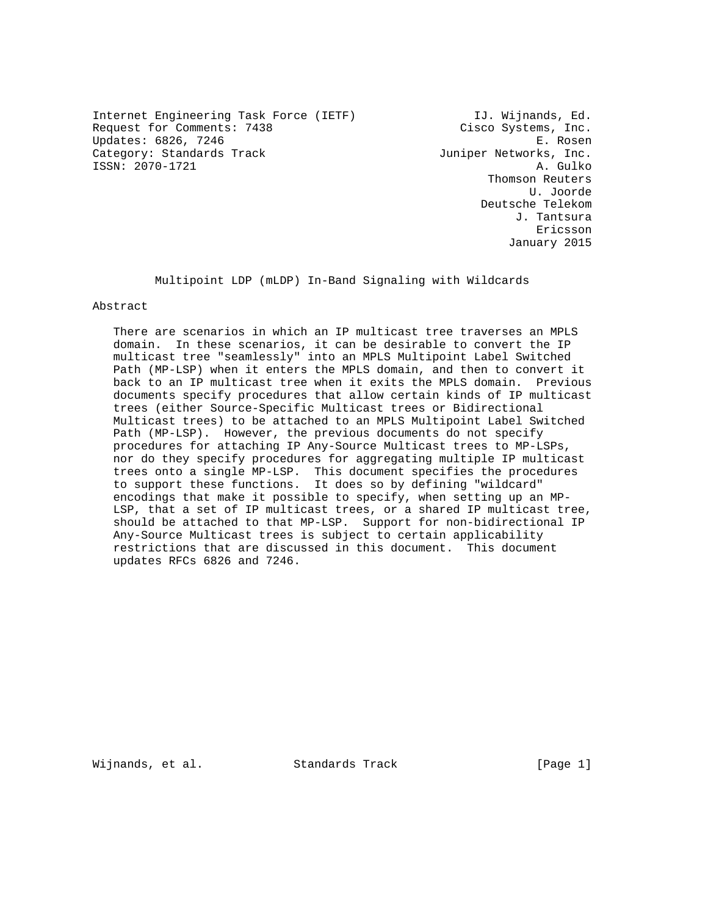Internet Engineering Task Force (IETF) [J. Wijnands, Ed. Request for Comments: 7438 Cisco Systems, Inc. Updates: 6826, 7246 E. Rosen Category: Standards Track Juniper Networks, Inc.<br>ISSN: 2070-1721 A. Gulko ISSN: 2070-1721

 Thomson Reuters U. Joorde Deutsche Telekom J. Tantsura eric and the contract of the contract of the contract of the contract of the contract of the contract of the contract of the contract of the contract of the contract of the contract of the contract of the contract of the c January 2015

Multipoint LDP (mLDP) In-Band Signaling with Wildcards

Abstract

 There are scenarios in which an IP multicast tree traverses an MPLS domain. In these scenarios, it can be desirable to convert the IP multicast tree "seamlessly" into an MPLS Multipoint Label Switched Path (MP-LSP) when it enters the MPLS domain, and then to convert it back to an IP multicast tree when it exits the MPLS domain. Previous documents specify procedures that allow certain kinds of IP multicast trees (either Source-Specific Multicast trees or Bidirectional Multicast trees) to be attached to an MPLS Multipoint Label Switched Path (MP-LSP). However, the previous documents do not specify procedures for attaching IP Any-Source Multicast trees to MP-LSPs, nor do they specify procedures for aggregating multiple IP multicast trees onto a single MP-LSP. This document specifies the procedures to support these functions. It does so by defining "wildcard" encodings that make it possible to specify, when setting up an MP- LSP, that a set of IP multicast trees, or a shared IP multicast tree, should be attached to that MP-LSP. Support for non-bidirectional IP Any-Source Multicast trees is subject to certain applicability restrictions that are discussed in this document. This document updates RFCs 6826 and 7246.

Wijnands, et al. Standards Track [Page 1]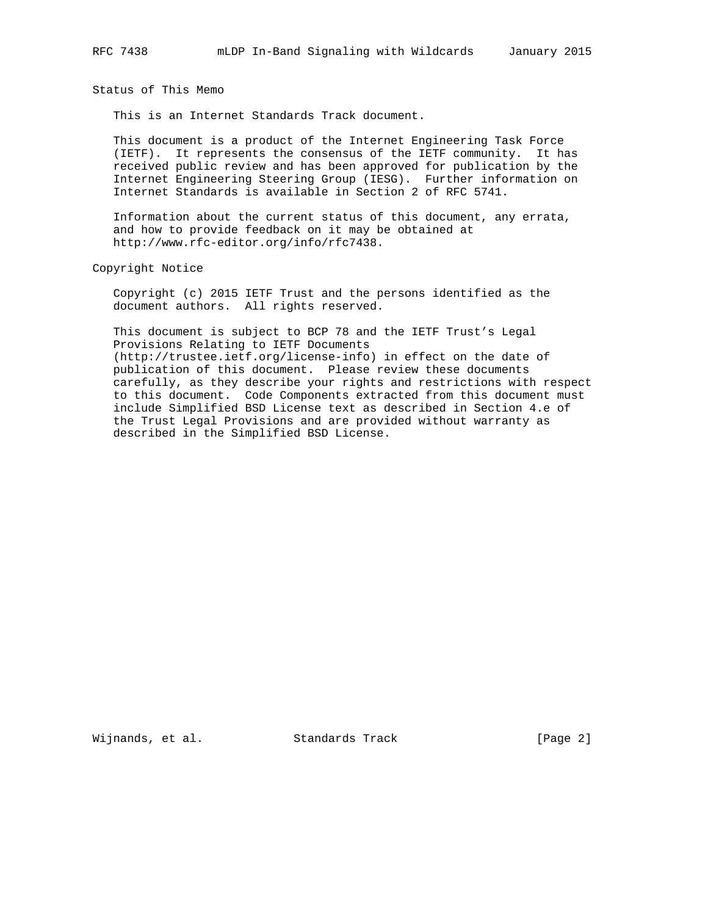Status of This Memo

This is an Internet Standards Track document.

 This document is a product of the Internet Engineering Task Force (IETF). It represents the consensus of the IETF community. It has received public review and has been approved for publication by the Internet Engineering Steering Group (IESG). Further information on Internet Standards is available in Section 2 of RFC 5741.

 Information about the current status of this document, any errata, and how to provide feedback on it may be obtained at http://www.rfc-editor.org/info/rfc7438.

Copyright Notice

 Copyright (c) 2015 IETF Trust and the persons identified as the document authors. All rights reserved.

 This document is subject to BCP 78 and the IETF Trust's Legal Provisions Relating to IETF Documents (http://trustee.ietf.org/license-info) in effect on the date of publication of this document. Please review these documents carefully, as they describe your rights and restrictions with respect to this document. Code Components extracted from this document must include Simplified BSD License text as described in Section 4.e of the Trust Legal Provisions and are provided without warranty as described in the Simplified BSD License.

Wijnands, et al. Standards Track [Page 2]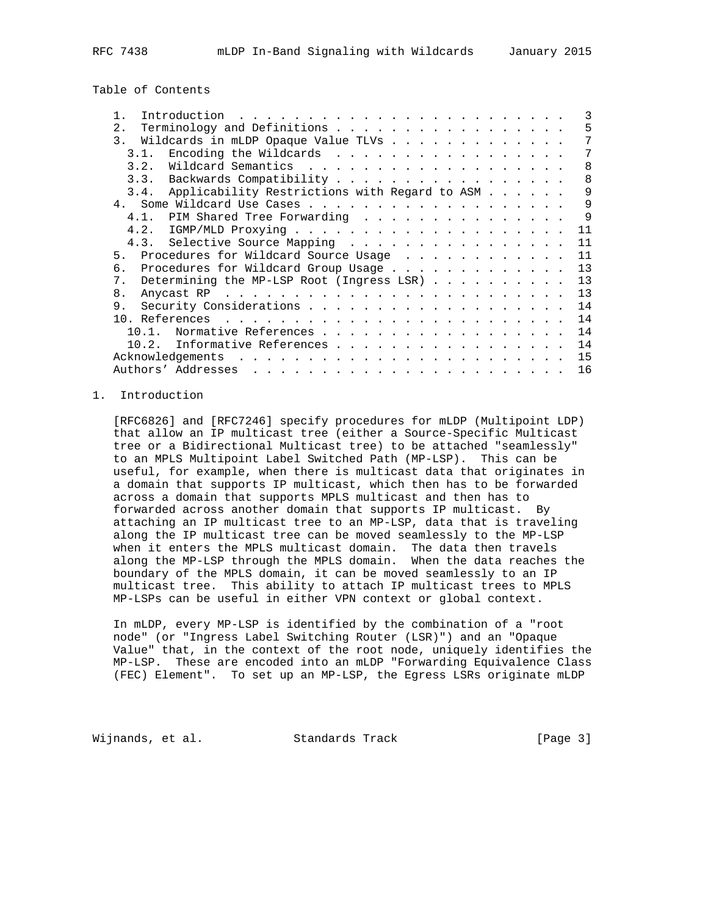Table of Contents

| Introduction                                                                                                                                                                                                                                                                                                                                                                                                  | 3            |
|---------------------------------------------------------------------------------------------------------------------------------------------------------------------------------------------------------------------------------------------------------------------------------------------------------------------------------------------------------------------------------------------------------------|--------------|
| Terminology and Definitions<br>2.                                                                                                                                                                                                                                                                                                                                                                             | 5            |
| 3.<br>Wildcards in mLDP Opaque Value TLVs                                                                                                                                                                                                                                                                                                                                                                     |              |
| Encoding the Wildcards<br>3 1                                                                                                                                                                                                                                                                                                                                                                                 |              |
| Wildcard Semantics<br>3.2.                                                                                                                                                                                                                                                                                                                                                                                    | 8            |
| 3.3. Backwards Compatibility                                                                                                                                                                                                                                                                                                                                                                                  | $\mathsf{R}$ |
| 3.4. Applicability Restrictions with Regard to ASM                                                                                                                                                                                                                                                                                                                                                            | 9            |
|                                                                                                                                                                                                                                                                                                                                                                                                               | 9            |
| 4.1. PIM Shared Tree Forwarding                                                                                                                                                                                                                                                                                                                                                                               | 9            |
| 4.2.                                                                                                                                                                                                                                                                                                                                                                                                          | 11           |
| 4.3. Selective Source Mapping                                                                                                                                                                                                                                                                                                                                                                                 | 11           |
| Procedures for Wildcard Source Usage<br>5.                                                                                                                                                                                                                                                                                                                                                                    | 11           |
| Procedures for Wildcard Group Usage<br>б.                                                                                                                                                                                                                                                                                                                                                                     | 13           |
| Determining the MP-LSP Root (Ingress LSR)<br>$7$ .                                                                                                                                                                                                                                                                                                                                                            | 13           |
| 8.                                                                                                                                                                                                                                                                                                                                                                                                            | 13           |
| 9.                                                                                                                                                                                                                                                                                                                                                                                                            | 14           |
|                                                                                                                                                                                                                                                                                                                                                                                                               | 14           |
| Normative References<br>10 1                                                                                                                                                                                                                                                                                                                                                                                  | 14           |
| 10.2.<br>Informative References                                                                                                                                                                                                                                                                                                                                                                               | 14           |
|                                                                                                                                                                                                                                                                                                                                                                                                               | 15           |
| Authors' Addresses<br>$\mathbf{1}^{(1)} \mathbf{1}^{(2)} \mathbf{1}^{(3)} \mathbf{1}^{(4)} \mathbf{1}^{(5)} \mathbf{1}^{(6)} \mathbf{1}^{(6)} \mathbf{1}^{(6)} \mathbf{1}^{(6)} \mathbf{1}^{(6)} \mathbf{1}^{(6)} \mathbf{1}^{(6)} \mathbf{1}^{(6)} \mathbf{1}^{(6)} \mathbf{1}^{(6)} \mathbf{1}^{(6)} \mathbf{1}^{(6)} \mathbf{1}^{(6)} \mathbf{1}^{(6)} \mathbf{1}^{(6)} \mathbf{1}^{(6)} \mathbf{1}^{(6)}$ | 16           |
|                                                                                                                                                                                                                                                                                                                                                                                                               |              |

# 1. Introduction

 [RFC6826] and [RFC7246] specify procedures for mLDP (Multipoint LDP) that allow an IP multicast tree (either a Source-Specific Multicast tree or a Bidirectional Multicast tree) to be attached "seamlessly" to an MPLS Multipoint Label Switched Path (MP-LSP). This can be useful, for example, when there is multicast data that originates in a domain that supports IP multicast, which then has to be forwarded across a domain that supports MPLS multicast and then has to forwarded across another domain that supports IP multicast. By attaching an IP multicast tree to an MP-LSP, data that is traveling along the IP multicast tree can be moved seamlessly to the MP-LSP when it enters the MPLS multicast domain. The data then travels along the MP-LSP through the MPLS domain. When the data reaches the boundary of the MPLS domain, it can be moved seamlessly to an IP multicast tree. This ability to attach IP multicast trees to MPLS MP-LSPs can be useful in either VPN context or global context.

 In mLDP, every MP-LSP is identified by the combination of a "root node" (or "Ingress Label Switching Router (LSR)") and an "Opaque Value" that, in the context of the root node, uniquely identifies the MP-LSP. These are encoded into an mLDP "Forwarding Equivalence Class (FEC) Element". To set up an MP-LSP, the Egress LSRs originate mLDP

Wijnands, et al. Standards Track [Page 3]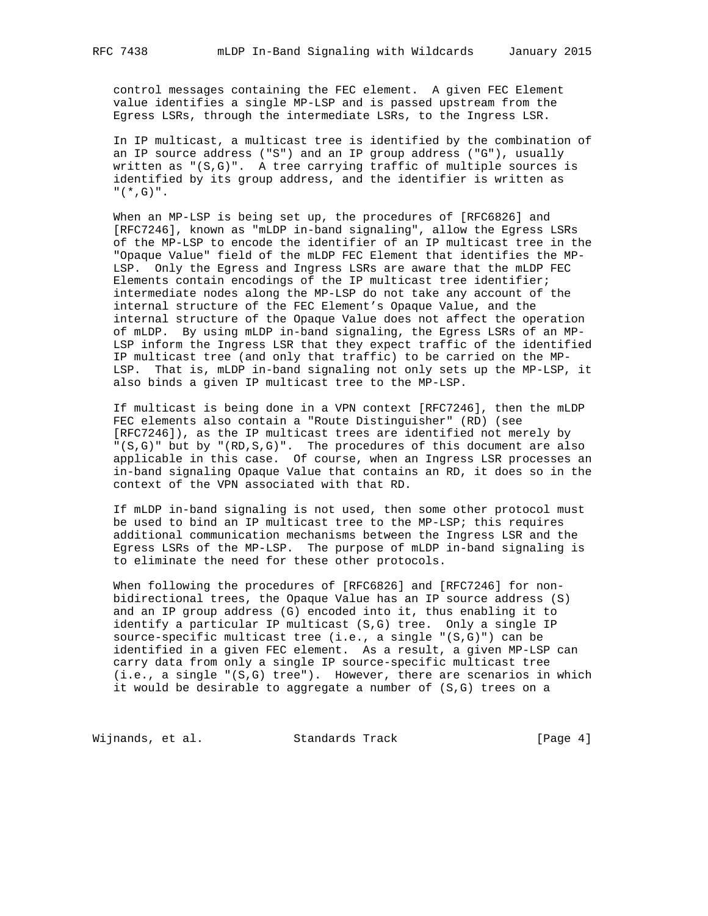control messages containing the FEC element. A given FEC Element value identifies a single MP-LSP and is passed upstream from the Egress LSRs, through the intermediate LSRs, to the Ingress LSR.

 In IP multicast, a multicast tree is identified by the combination of an IP source address ("S") and an IP group address ("G"), usually written as "(S,G)". A tree carrying traffic of multiple sources is identified by its group address, and the identifier is written as  $"$  (  $*$  , G )  $"$  .

 When an MP-LSP is being set up, the procedures of [RFC6826] and [RFC7246], known as "mLDP in-band signaling", allow the Egress LSRs of the MP-LSP to encode the identifier of an IP multicast tree in the "Opaque Value" field of the mLDP FEC Element that identifies the MP- LSP. Only the Egress and Ingress LSRs are aware that the mLDP FEC Elements contain encodings of the IP multicast tree identifier; intermediate nodes along the MP-LSP do not take any account of the internal structure of the FEC Element's Opaque Value, and the internal structure of the Opaque Value does not affect the operation of mLDP. By using mLDP in-band signaling, the Egress LSRs of an MP- LSP inform the Ingress LSR that they expect traffic of the identified IP multicast tree (and only that traffic) to be carried on the MP- LSP. That is, mLDP in-band signaling not only sets up the MP-LSP, it also binds a given IP multicast tree to the MP-LSP.

 If multicast is being done in a VPN context [RFC7246], then the mLDP FEC elements also contain a "Route Distinguisher" (RD) (see [RFC7246]), as the IP multicast trees are identified not merely by "(S,G)" but by "(RD,S,G)". The procedures of this document are also applicable in this case. Of course, when an Ingress LSR processes an in-band signaling Opaque Value that contains an RD, it does so in the context of the VPN associated with that RD.

 If mLDP in-band signaling is not used, then some other protocol must be used to bind an IP multicast tree to the MP-LSP; this requires additional communication mechanisms between the Ingress LSR and the Egress LSRs of the MP-LSP. The purpose of mLDP in-band signaling is to eliminate the need for these other protocols.

 When following the procedures of [RFC6826] and [RFC7246] for non bidirectional trees, the Opaque Value has an IP source address (S) and an IP group address (G) encoded into it, thus enabling it to identify a particular IP multicast (S,G) tree. Only a single IP source-specific multicast tree (i.e., a single "(S,G)") can be identified in a given FEC element. As a result, a given MP-LSP can carry data from only a single IP source-specific multicast tree (i.e., a single "(S,G) tree"). However, there are scenarios in which it would be desirable to aggregate a number of (S,G) trees on a

Wijnands, et al. Standards Track [Page 4]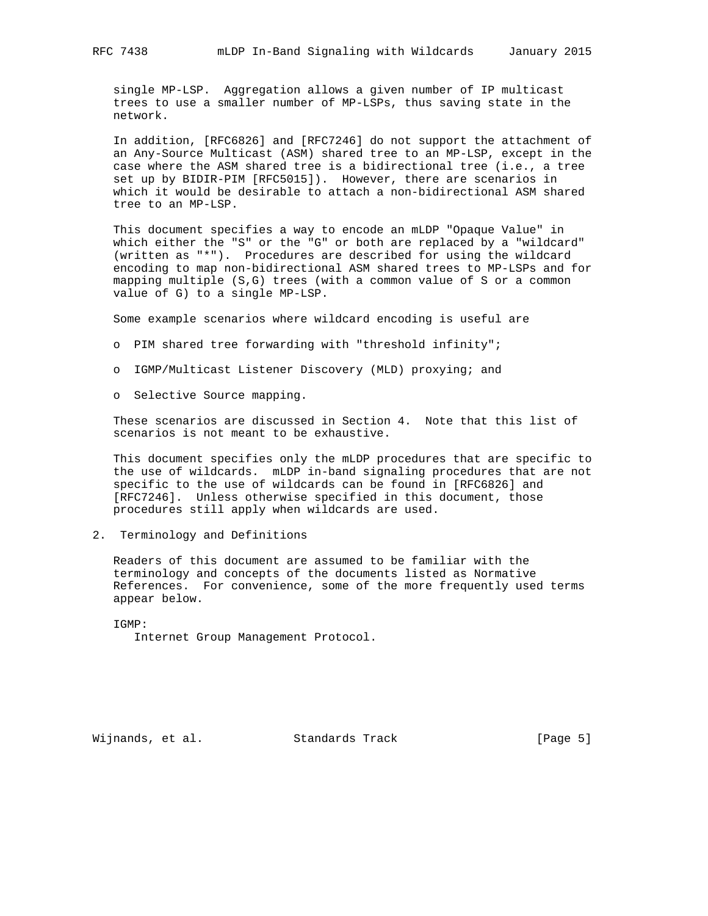single MP-LSP. Aggregation allows a given number of IP multicast trees to use a smaller number of MP-LSPs, thus saving state in the network.

 In addition, [RFC6826] and [RFC7246] do not support the attachment of an Any-Source Multicast (ASM) shared tree to an MP-LSP, except in the case where the ASM shared tree is a bidirectional tree (i.e., a tree set up by BIDIR-PIM [RFC5015]). However, there are scenarios in which it would be desirable to attach a non-bidirectional ASM shared tree to an MP-LSP.

 This document specifies a way to encode an mLDP "Opaque Value" in which either the "S" or the "G" or both are replaced by a "wildcard" (written as "\*"). Procedures are described for using the wildcard encoding to map non-bidirectional ASM shared trees to MP-LSPs and for mapping multiple (S,G) trees (with a common value of S or a common value of G) to a single MP-LSP.

Some example scenarios where wildcard encoding is useful are

- o PIM shared tree forwarding with "threshold infinity";
- o IGMP/Multicast Listener Discovery (MLD) proxying; and
- o Selective Source mapping.

 These scenarios are discussed in Section 4. Note that this list of scenarios is not meant to be exhaustive.

 This document specifies only the mLDP procedures that are specific to the use of wildcards. mLDP in-band signaling procedures that are not specific to the use of wildcards can be found in [RFC6826] and [RFC7246]. Unless otherwise specified in this document, those procedures still apply when wildcards are used.

2. Terminology and Definitions

 Readers of this document are assumed to be familiar with the terminology and concepts of the documents listed as Normative References. For convenience, some of the more frequently used terms appear below.

 IGMP: Internet Group Management Protocol.

Wijnands, et al. Standards Track [Page 5]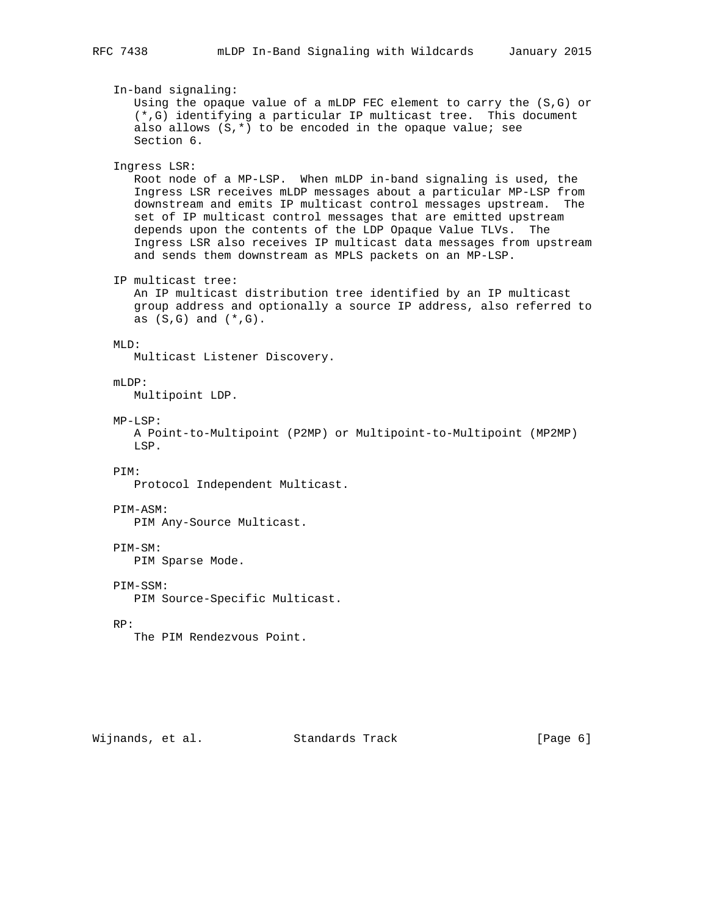In-band signaling: Using the opaque value of a mLDP FEC element to carry the (S,G) or (\*,G) identifying a particular IP multicast tree. This document also allows  $(S,*)$  to be encoded in the opaque value; see Section 6. Ingress LSR: Root node of a MP-LSP. When mLDP in-band signaling is used, the Ingress LSR receives mLDP messages about a particular MP-LSP from downstream and emits IP multicast control messages upstream. The set of IP multicast control messages that are emitted upstream depends upon the contents of the LDP Opaque Value TLVs. The Ingress LSR also receives IP multicast data messages from upstream and sends them downstream as MPLS packets on an MP-LSP. IP multicast tree: An IP multicast distribution tree identified by an IP multicast group address and optionally a source IP address, also referred to as  $(S,G)$  and  $(*,G)$ . MLD: Multicast Listener Discovery. mLDP: Multipoint LDP. MP-LSP: A Point-to-Multipoint (P2MP) or Multipoint-to-Multipoint (MP2MP) LSP. PIM: Protocol Independent Multicast. PIM-ASM: PIM Any-Source Multicast. PIM-SM: PIM Sparse Mode. PIM-SSM: PIM Source-Specific Multicast. RP: The PIM Rendezvous Point.

Wijnands, et al. Standards Track [Page 6]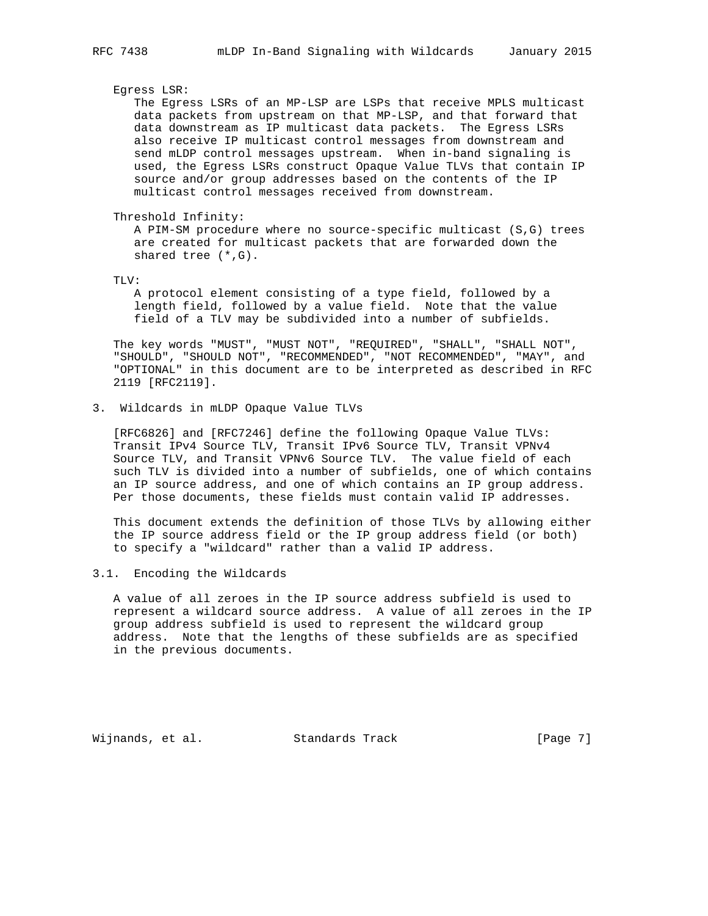### Egress LSR:

 The Egress LSRs of an MP-LSP are LSPs that receive MPLS multicast data packets from upstream on that MP-LSP, and that forward that data downstream as IP multicast data packets. The Egress LSRs also receive IP multicast control messages from downstream and send mLDP control messages upstream. When in-band signaling is used, the Egress LSRs construct Opaque Value TLVs that contain IP source and/or group addresses based on the contents of the IP multicast control messages received from downstream.

#### Threshold Infinity:

 A PIM-SM procedure where no source-specific multicast (S,G) trees are created for multicast packets that are forwarded down the shared tree (\*,G).

TLV:

 A protocol element consisting of a type field, followed by a length field, followed by a value field. Note that the value field of a TLV may be subdivided into a number of subfields.

 The key words "MUST", "MUST NOT", "REQUIRED", "SHALL", "SHALL NOT", "SHOULD", "SHOULD NOT", "RECOMMENDED", "NOT RECOMMENDED", "MAY", and "OPTIONAL" in this document are to be interpreted as described in RFC 2119 [RFC2119].

## 3. Wildcards in mLDP Opaque Value TLVs

 [RFC6826] and [RFC7246] define the following Opaque Value TLVs: Transit IPv4 Source TLV, Transit IPv6 Source TLV, Transit VPNv4 Source TLV, and Transit VPNv6 Source TLV. The value field of each such TLV is divided into a number of subfields, one of which contains an IP source address, and one of which contains an IP group address. Per those documents, these fields must contain valid IP addresses.

 This document extends the definition of those TLVs by allowing either the IP source address field or the IP group address field (or both) to specify a "wildcard" rather than a valid IP address.

## 3.1. Encoding the Wildcards

 A value of all zeroes in the IP source address subfield is used to represent a wildcard source address. A value of all zeroes in the IP group address subfield is used to represent the wildcard group address. Note that the lengths of these subfields are as specified in the previous documents.

Wijnands, et al. Standards Track [Page 7]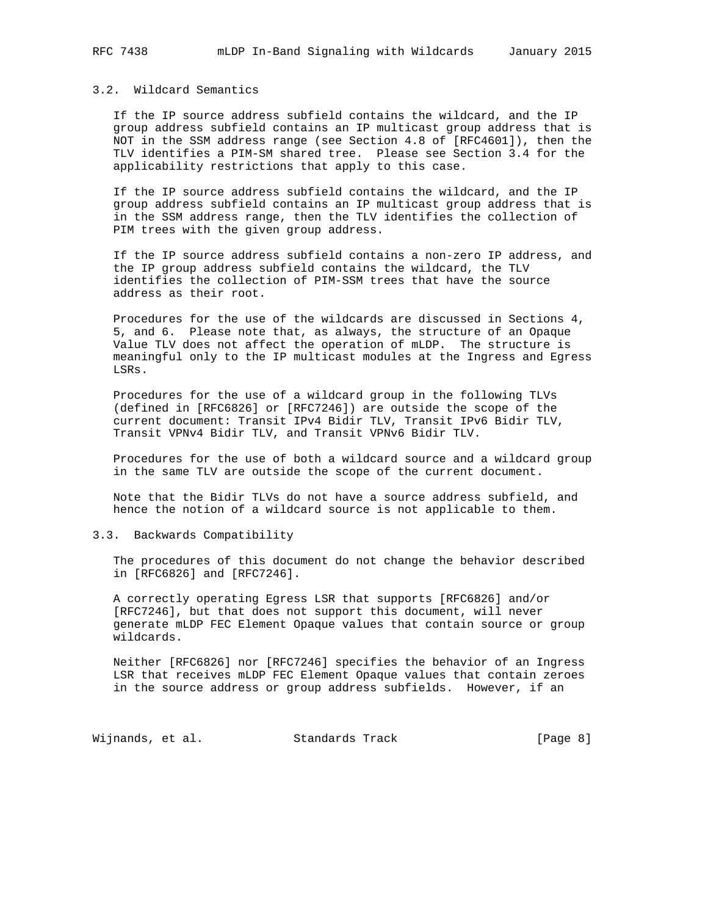## 3.2. Wildcard Semantics

 If the IP source address subfield contains the wildcard, and the IP group address subfield contains an IP multicast group address that is NOT in the SSM address range (see Section 4.8 of [RFC4601]), then the TLV identifies a PIM-SM shared tree. Please see Section 3.4 for the applicability restrictions that apply to this case.

 If the IP source address subfield contains the wildcard, and the IP group address subfield contains an IP multicast group address that is in the SSM address range, then the TLV identifies the collection of PIM trees with the given group address.

 If the IP source address subfield contains a non-zero IP address, and the IP group address subfield contains the wildcard, the TLV identifies the collection of PIM-SSM trees that have the source address as their root.

 Procedures for the use of the wildcards are discussed in Sections 4, 5, and 6. Please note that, as always, the structure of an Opaque Value TLV does not affect the operation of mLDP. The structure is meaningful only to the IP multicast modules at the Ingress and Egress LSRs.

 Procedures for the use of a wildcard group in the following TLVs (defined in [RFC6826] or [RFC7246]) are outside the scope of the current document: Transit IPv4 Bidir TLV, Transit IPv6 Bidir TLV, Transit VPNv4 Bidir TLV, and Transit VPNv6 Bidir TLV.

 Procedures for the use of both a wildcard source and a wildcard group in the same TLV are outside the scope of the current document.

 Note that the Bidir TLVs do not have a source address subfield, and hence the notion of a wildcard source is not applicable to them.

3.3. Backwards Compatibility

 The procedures of this document do not change the behavior described in [RFC6826] and [RFC7246].

 A correctly operating Egress LSR that supports [RFC6826] and/or [RFC7246], but that does not support this document, will never generate mLDP FEC Element Opaque values that contain source or group wildcards.

 Neither [RFC6826] nor [RFC7246] specifies the behavior of an Ingress LSR that receives mLDP FEC Element Opaque values that contain zeroes in the source address or group address subfields. However, if an

Wijnands, et al. Standards Track [Page 8]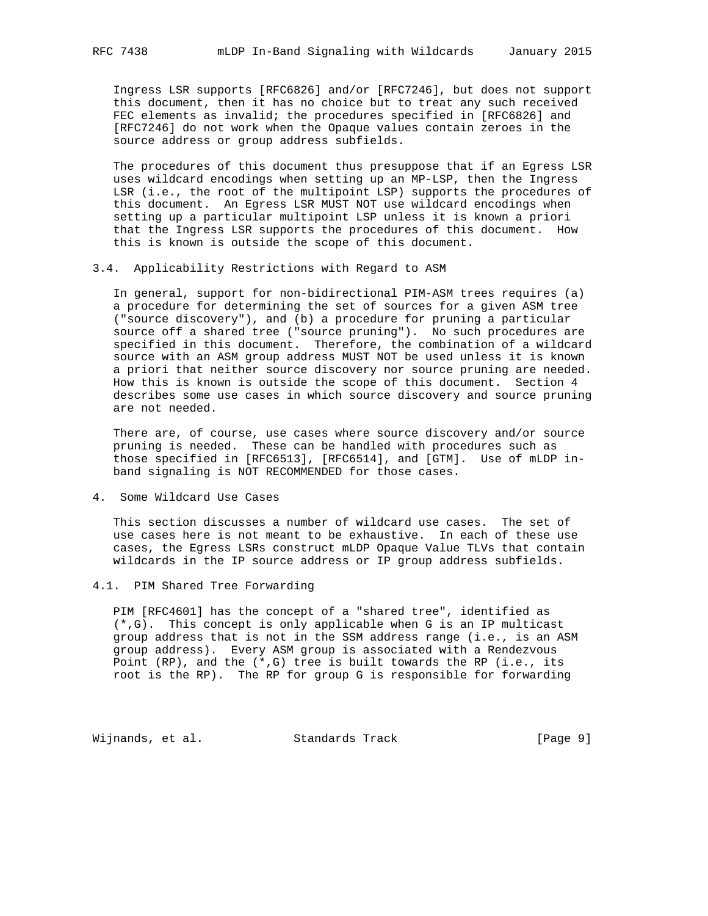Ingress LSR supports [RFC6826] and/or [RFC7246], but does not support this document, then it has no choice but to treat any such received FEC elements as invalid; the procedures specified in [RFC6826] and [RFC7246] do not work when the Opaque values contain zeroes in the source address or group address subfields.

 The procedures of this document thus presuppose that if an Egress LSR uses wildcard encodings when setting up an MP-LSP, then the Ingress LSR (i.e., the root of the multipoint LSP) supports the procedures of this document. An Egress LSR MUST NOT use wildcard encodings when setting up a particular multipoint LSP unless it is known a priori that the Ingress LSR supports the procedures of this document. How this is known is outside the scope of this document.

### 3.4. Applicability Restrictions with Regard to ASM

 In general, support for non-bidirectional PIM-ASM trees requires (a) a procedure for determining the set of sources for a given ASM tree ("source discovery"), and (b) a procedure for pruning a particular source off a shared tree ("source pruning"). No such procedures are specified in this document. Therefore, the combination of a wildcard source with an ASM group address MUST NOT be used unless it is known a priori that neither source discovery nor source pruning are needed. How this is known is outside the scope of this document. Section 4 describes some use cases in which source discovery and source pruning are not needed.

 There are, of course, use cases where source discovery and/or source pruning is needed. These can be handled with procedures such as those specified in [RFC6513], [RFC6514], and [GTM]. Use of mLDP in band signaling is NOT RECOMMENDED for those cases.

#### 4. Some Wildcard Use Cases

 This section discusses a number of wildcard use cases. The set of use cases here is not meant to be exhaustive. In each of these use cases, the Egress LSRs construct mLDP Opaque Value TLVs that contain wildcards in the IP source address or IP group address subfields.

#### 4.1. PIM Shared Tree Forwarding

 PIM [RFC4601] has the concept of a "shared tree", identified as (\*,G). This concept is only applicable when G is an IP multicast group address that is not in the SSM address range (i.e., is an ASM group address). Every ASM group is associated with a Rendezvous Point (RP), and the  $(*,G)$  tree is built towards the RP (i.e., its root is the RP). The RP for group G is responsible for forwarding

Wijnands, et al. Standards Track [Page 9]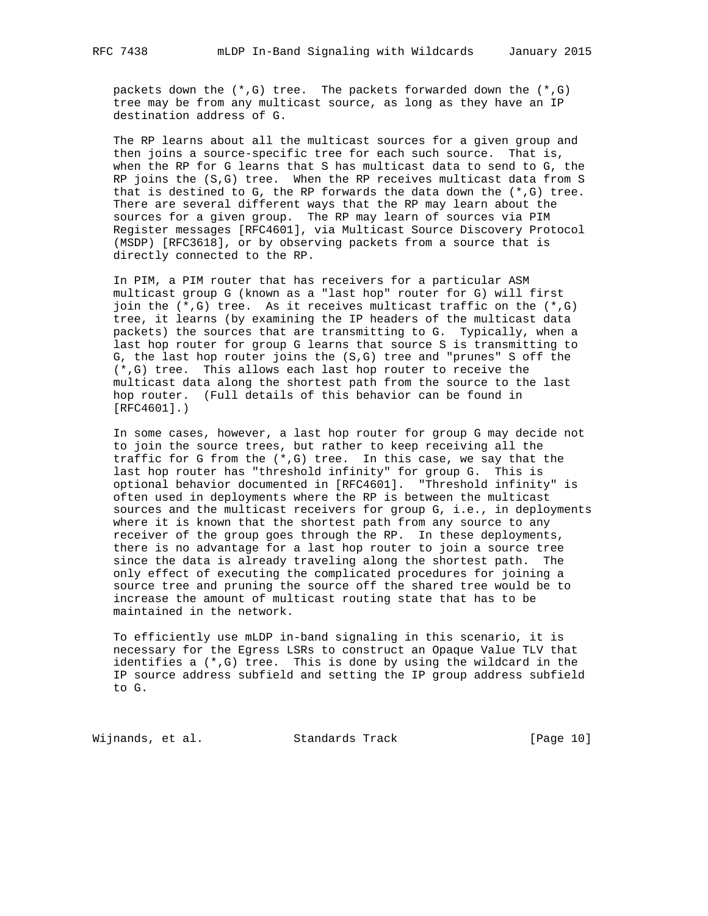packets down the (\*,G) tree. The packets forwarded down the (\*,G) tree may be from any multicast source, as long as they have an IP destination address of G.

 The RP learns about all the multicast sources for a given group and then joins a source-specific tree for each such source. That is, when the RP for G learns that S has multicast data to send to G, the RP joins the (S,G) tree. When the RP receives multicast data from S that is destined to G, the RP forwards the data down the  $(*,G)$  tree. There are several different ways that the RP may learn about the sources for a given group. The RP may learn of sources via PIM Register messages [RFC4601], via Multicast Source Discovery Protocol (MSDP) [RFC3618], or by observing packets from a source that is directly connected to the RP.

 In PIM, a PIM router that has receivers for a particular ASM multicast group G (known as a "last hop" router for G) will first join the  $(*$ , G) tree. As it receives multicast traffic on the  $(*$ , G) tree, it learns (by examining the IP headers of the multicast data packets) the sources that are transmitting to G. Typically, when a last hop router for group G learns that source S is transmitting to G, the last hop router joins the (S,G) tree and "prunes" S off the (\*,G) tree. This allows each last hop router to receive the multicast data along the shortest path from the source to the last hop router. (Full details of this behavior can be found in [RFC4601].)

 In some cases, however, a last hop router for group G may decide not to join the source trees, but rather to keep receiving all the traffic for G from the (\*,G) tree. In this case, we say that the last hop router has "threshold infinity" for group G. This is optional behavior documented in [RFC4601]. "Threshold infinity" is often used in deployments where the RP is between the multicast sources and the multicast receivers for group G, i.e., in deployments where it is known that the shortest path from any source to any receiver of the group goes through the RP. In these deployments, there is no advantage for a last hop router to join a source tree since the data is already traveling along the shortest path. The only effect of executing the complicated procedures for joining a source tree and pruning the source off the shared tree would be to increase the amount of multicast routing state that has to be maintained in the network.

 To efficiently use mLDP in-band signaling in this scenario, it is necessary for the Egress LSRs to construct an Opaque Value TLV that identifies a (\*,G) tree. This is done by using the wildcard in the IP source address subfield and setting the IP group address subfield to G.

Wijnands, et al. Standards Track [Page 10]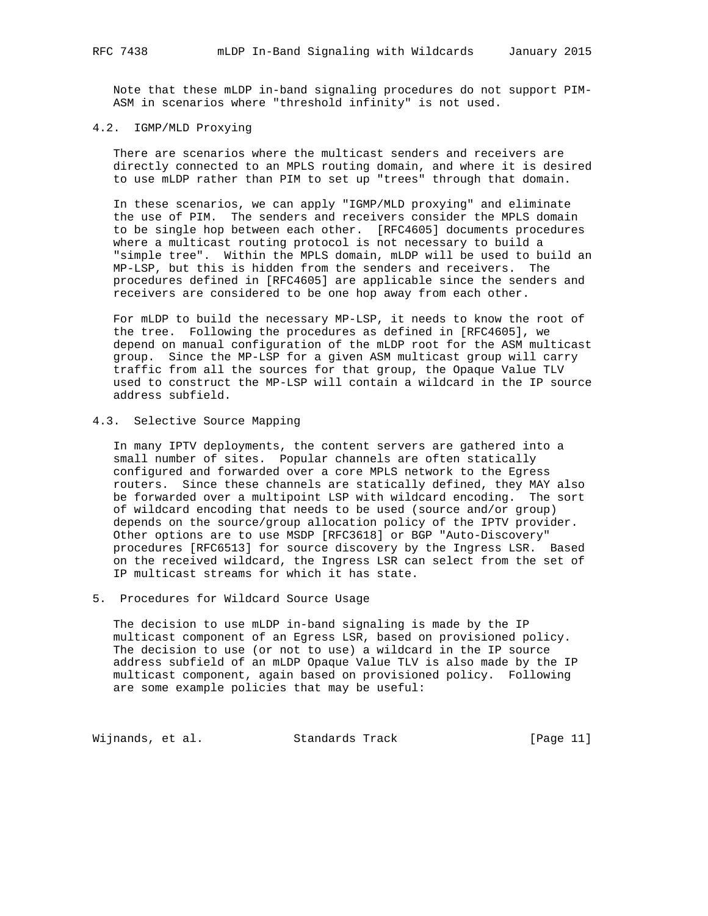Note that these mLDP in-band signaling procedures do not support PIM- ASM in scenarios where "threshold infinity" is not used.

# 4.2. IGMP/MLD Proxying

 There are scenarios where the multicast senders and receivers are directly connected to an MPLS routing domain, and where it is desired to use mLDP rather than PIM to set up "trees" through that domain.

 In these scenarios, we can apply "IGMP/MLD proxying" and eliminate the use of PIM. The senders and receivers consider the MPLS domain to be single hop between each other. [RFC4605] documents procedures where a multicast routing protocol is not necessary to build a "simple tree". Within the MPLS domain, mLDP will be used to build an MP-LSP, but this is hidden from the senders and receivers. The procedures defined in [RFC4605] are applicable since the senders and receivers are considered to be one hop away from each other.

 For mLDP to build the necessary MP-LSP, it needs to know the root of the tree. Following the procedures as defined in [RFC4605], we depend on manual configuration of the mLDP root for the ASM multicast group. Since the MP-LSP for a given ASM multicast group will carry traffic from all the sources for that group, the Opaque Value TLV used to construct the MP-LSP will contain a wildcard in the IP source address subfield.

# 4.3. Selective Source Mapping

 In many IPTV deployments, the content servers are gathered into a small number of sites. Popular channels are often statically configured and forwarded over a core MPLS network to the Egress routers. Since these channels are statically defined, they MAY also be forwarded over a multipoint LSP with wildcard encoding. The sort of wildcard encoding that needs to be used (source and/or group) depends on the source/group allocation policy of the IPTV provider. Other options are to use MSDP [RFC3618] or BGP "Auto-Discovery" procedures [RFC6513] for source discovery by the Ingress LSR. Based on the received wildcard, the Ingress LSR can select from the set of IP multicast streams for which it has state.

## 5. Procedures for Wildcard Source Usage

 The decision to use mLDP in-band signaling is made by the IP multicast component of an Egress LSR, based on provisioned policy. The decision to use (or not to use) a wildcard in the IP source address subfield of an mLDP Opaque Value TLV is also made by the IP multicast component, again based on provisioned policy. Following are some example policies that may be useful:

Wijnands, et al. Standards Track [Page 11]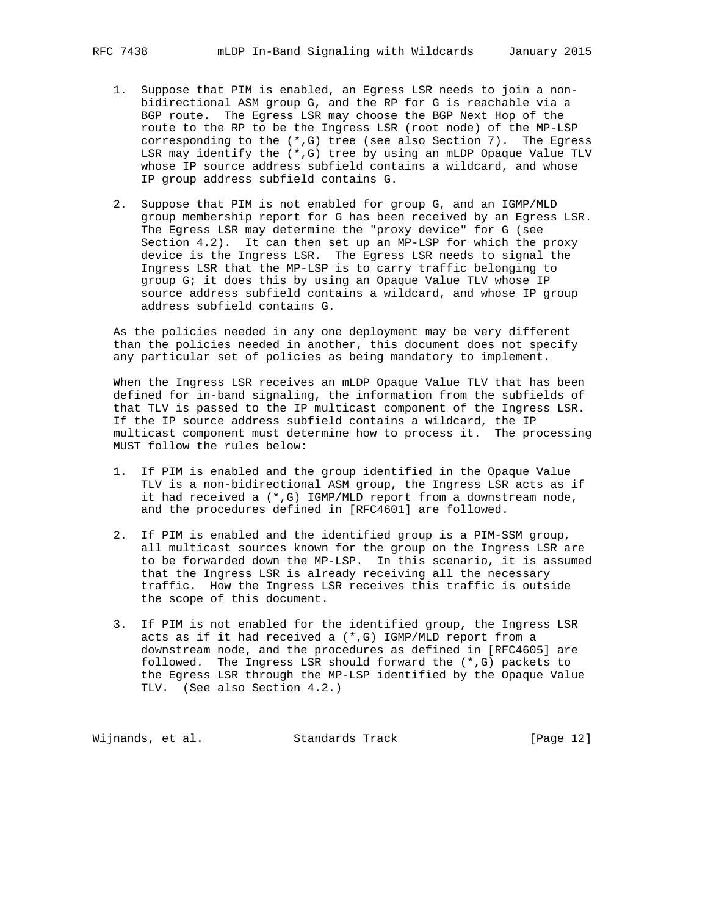- 1. Suppose that PIM is enabled, an Egress LSR needs to join a non bidirectional ASM group G, and the RP for G is reachable via a BGP route. The Egress LSR may choose the BGP Next Hop of the route to the RP to be the Ingress LSR (root node) of the MP-LSP corresponding to the (\*,G) tree (see also Section 7). The Egress LSR may identify the (\*,G) tree by using an mLDP Opaque Value TLV whose IP source address subfield contains a wildcard, and whose IP group address subfield contains G.
- 2. Suppose that PIM is not enabled for group G, and an IGMP/MLD group membership report for G has been received by an Egress LSR. The Egress LSR may determine the "proxy device" for G (see Section 4.2). It can then set up an MP-LSP for which the proxy device is the Ingress LSR. The Egress LSR needs to signal the Ingress LSR that the MP-LSP is to carry traffic belonging to group G; it does this by using an Opaque Value TLV whose IP source address subfield contains a wildcard, and whose IP group address subfield contains G.

 As the policies needed in any one deployment may be very different than the policies needed in another, this document does not specify any particular set of policies as being mandatory to implement.

 When the Ingress LSR receives an mLDP Opaque Value TLV that has been defined for in-band signaling, the information from the subfields of that TLV is passed to the IP multicast component of the Ingress LSR. If the IP source address subfield contains a wildcard, the IP multicast component must determine how to process it. The processing MUST follow the rules below:

- 1. If PIM is enabled and the group identified in the Opaque Value TLV is a non-bidirectional ASM group, the Ingress LSR acts as if it had received a (\*,G) IGMP/MLD report from a downstream node, and the procedures defined in [RFC4601] are followed.
- 2. If PIM is enabled and the identified group is a PIM-SSM group, all multicast sources known for the group on the Ingress LSR are to be forwarded down the MP-LSP. In this scenario, it is assumed that the Ingress LSR is already receiving all the necessary traffic. How the Ingress LSR receives this traffic is outside the scope of this document.
- 3. If PIM is not enabled for the identified group, the Ingress LSR acts as if it had received a (\*,G) IGMP/MLD report from a downstream node, and the procedures as defined in [RFC4605] are followed. The Ingress LSR should forward the (\*,G) packets to the Egress LSR through the MP-LSP identified by the Opaque Value TLV. (See also Section 4.2.)

Wijnands, et al. Standards Track [Page 12]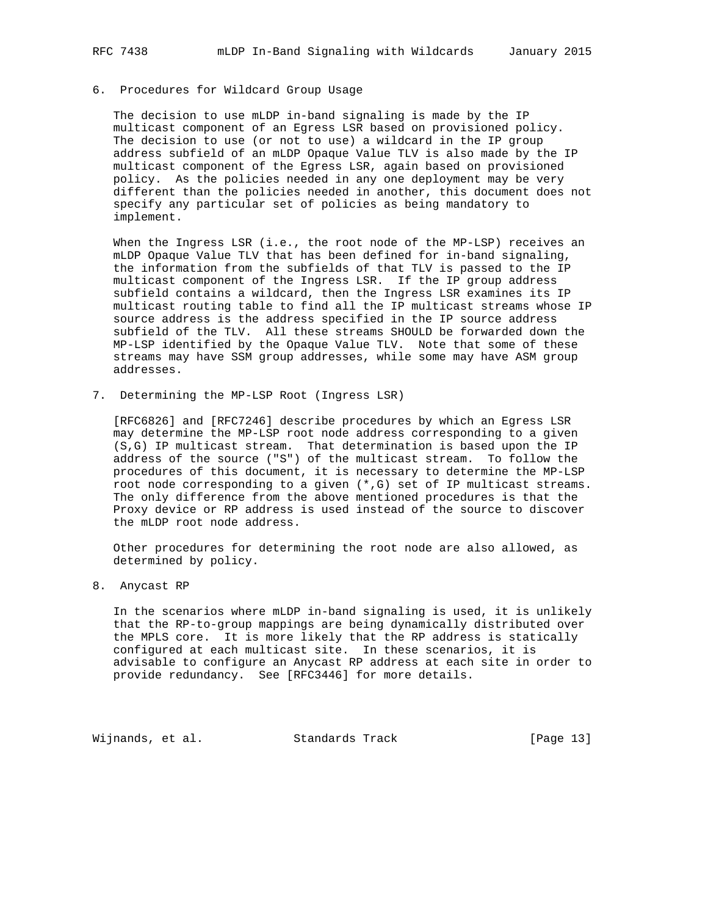## 6. Procedures for Wildcard Group Usage

 The decision to use mLDP in-band signaling is made by the IP multicast component of an Egress LSR based on provisioned policy. The decision to use (or not to use) a wildcard in the IP group address subfield of an mLDP Opaque Value TLV is also made by the IP multicast component of the Egress LSR, again based on provisioned policy. As the policies needed in any one deployment may be very different than the policies needed in another, this document does not specify any particular set of policies as being mandatory to implement.

When the Ingress LSR (i.e., the root node of the MP-LSP) receives an mLDP Opaque Value TLV that has been defined for in-band signaling, the information from the subfields of that TLV is passed to the IP multicast component of the Ingress LSR. If the IP group address subfield contains a wildcard, then the Ingress LSR examines its IP multicast routing table to find all the IP multicast streams whose IP source address is the address specified in the IP source address subfield of the TLV. All these streams SHOULD be forwarded down the MP-LSP identified by the Opaque Value TLV. Note that some of these streams may have SSM group addresses, while some may have ASM group addresses.

7. Determining the MP-LSP Root (Ingress LSR)

 [RFC6826] and [RFC7246] describe procedures by which an Egress LSR may determine the MP-LSP root node address corresponding to a given (S,G) IP multicast stream. That determination is based upon the IP address of the source ("S") of the multicast stream. To follow the procedures of this document, it is necessary to determine the MP-LSP root node corresponding to a given (\*,G) set of IP multicast streams. The only difference from the above mentioned procedures is that the Proxy device or RP address is used instead of the source to discover the mLDP root node address.

 Other procedures for determining the root node are also allowed, as determined by policy.

8. Anycast RP

 In the scenarios where mLDP in-band signaling is used, it is unlikely that the RP-to-group mappings are being dynamically distributed over the MPLS core. It is more likely that the RP address is statically configured at each multicast site. In these scenarios, it is advisable to configure an Anycast RP address at each site in order to provide redundancy. See [RFC3446] for more details.

Wijnands, et al. Standards Track [Page 13]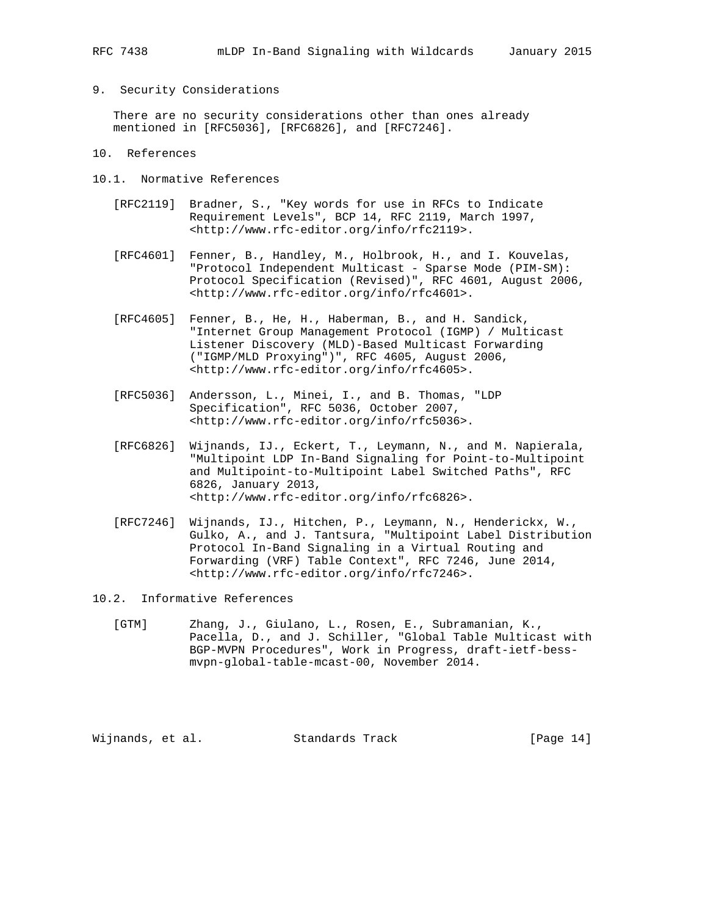9. Security Considerations

 There are no security considerations other than ones already mentioned in [RFC5036], [RFC6826], and [RFC7246].

- 10. References
- 10.1. Normative References
	- [RFC2119] Bradner, S., "Key words for use in RFCs to Indicate Requirement Levels", BCP 14, RFC 2119, March 1997, <http://www.rfc-editor.org/info/rfc2119>.
	- [RFC4601] Fenner, B., Handley, M., Holbrook, H., and I. Kouvelas, "Protocol Independent Multicast - Sparse Mode (PIM-SM): Protocol Specification (Revised)", RFC 4601, August 2006, <http://www.rfc-editor.org/info/rfc4601>.
	- [RFC4605] Fenner, B., He, H., Haberman, B., and H. Sandick, "Internet Group Management Protocol (IGMP) / Multicast Listener Discovery (MLD)-Based Multicast Forwarding ("IGMP/MLD Proxying")", RFC 4605, August 2006, <http://www.rfc-editor.org/info/rfc4605>.
	- [RFC5036] Andersson, L., Minei, I., and B. Thomas, "LDP Specification", RFC 5036, October 2007, <http://www.rfc-editor.org/info/rfc5036>.
	- [RFC6826] Wijnands, IJ., Eckert, T., Leymann, N., and M. Napierala, "Multipoint LDP In-Band Signaling for Point-to-Multipoint and Multipoint-to-Multipoint Label Switched Paths", RFC 6826, January 2013, <http://www.rfc-editor.org/info/rfc6826>.
	- [RFC7246] Wijnands, IJ., Hitchen, P., Leymann, N., Henderickx, W., Gulko, A., and J. Tantsura, "Multipoint Label Distribution Protocol In-Band Signaling in a Virtual Routing and Forwarding (VRF) Table Context", RFC 7246, June 2014, <http://www.rfc-editor.org/info/rfc7246>.
- 10.2. Informative References
	- [GTM] Zhang, J., Giulano, L., Rosen, E., Subramanian, K., Pacella, D., and J. Schiller, "Global Table Multicast with BGP-MVPN Procedures", Work in Progress, draft-ietf-bess mvpn-global-table-mcast-00, November 2014.

Wijnands, et al. Standards Track [Page 14]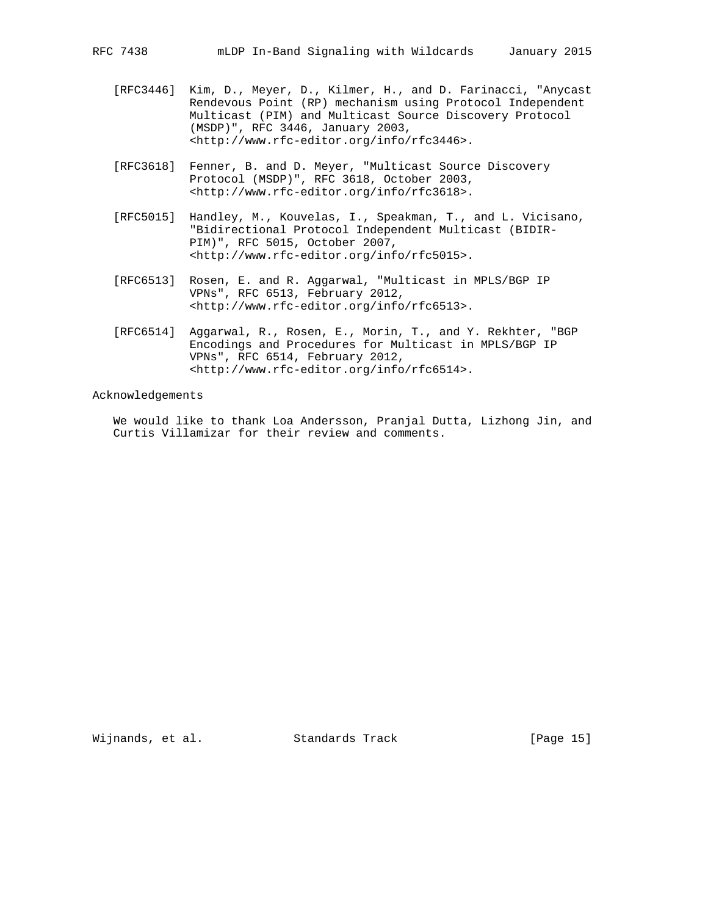- [RFC3446] Kim, D., Meyer, D., Kilmer, H., and D. Farinacci, "Anycast Rendevous Point (RP) mechanism using Protocol Independent Multicast (PIM) and Multicast Source Discovery Protocol (MSDP)", RFC 3446, January 2003, <http://www.rfc-editor.org/info/rfc3446>.
- [RFC3618] Fenner, B. and D. Meyer, "Multicast Source Discovery Protocol (MSDP)", RFC 3618, October 2003, <http://www.rfc-editor.org/info/rfc3618>.
- [RFC5015] Handley, M., Kouvelas, I., Speakman, T., and L. Vicisano, "Bidirectional Protocol Independent Multicast (BIDIR- PIM)", RFC 5015, October 2007, <http://www.rfc-editor.org/info/rfc5015>.
- [RFC6513] Rosen, E. and R. Aggarwal, "Multicast in MPLS/BGP IP VPNs", RFC 6513, February 2012, <http://www.rfc-editor.org/info/rfc6513>.
- [RFC6514] Aggarwal, R., Rosen, E., Morin, T., and Y. Rekhter, "BGP Encodings and Procedures for Multicast in MPLS/BGP IP VPNs", RFC 6514, February 2012, <http://www.rfc-editor.org/info/rfc6514>.

Acknowledgements

 We would like to thank Loa Andersson, Pranjal Dutta, Lizhong Jin, and Curtis Villamizar for their review and comments.

Wijnands, et al. Standards Track [Page 15]